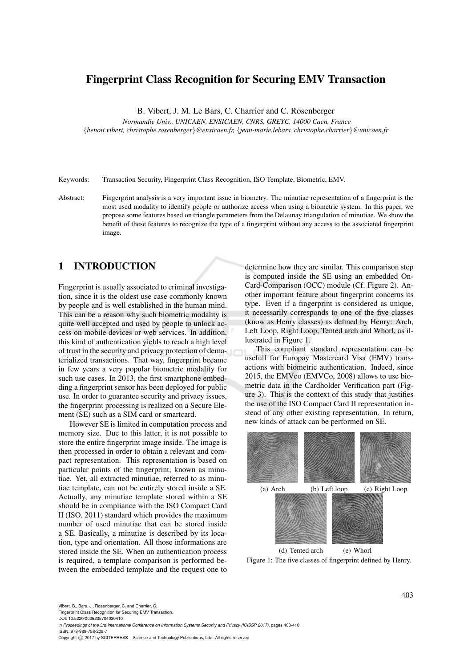## Fingerprint Class Recognition for Securing EMV Transaction

B. Vibert, J. M. Le Bars, C. Charrier and C. Rosenberger

*Normandie Univ., UNICAEN, ENSICAEN, CNRS, GREYC, 14000 Caen, France* {*benoit.vibert, christophe.rosenberger*}*@ensicaen.fr,* {*jean-marie.lebars, christophe.charrier*}*@unicaen.fr*

Keywords: Transaction Security, Fingerprint Class Recognition, ISO Template, Biometric, EMV.

Abstract: Fingerprint analysis is a very important issue in biometry. The minutiae representation of a fingerprint is the most used modality to identify people or authorize access when using a biometric system. In this paper, we propose some features based on triangle parameters from the Delaunay triangulation of minutiae. We show the benefit of these features to recognize the type of a fingerprint without any access to the associated fingerprint image.

## 1 INTRODUCTION

Fingerprint is usually associated to criminal investigation, since it is the oldest use case commonly known by people and is well established in the human mind. This can be a reason why such biometric modality is quite well accepted and used by people to unlock access on mobile devices or web services. In addition, this kind of authentication yields to reach a high level of trust in the security and privacy protection of dematerialized transactions. That way, fingerprint became in few years a very popular biometric modality for such use cases. In 2013, the first smartphone embedding a fingerprint sensor has been deployed for public use. In order to guarantee security and privacy issues, the fingerprint processing is realized on a Secure Element (SE) such as a SIM card or smartcard.

However SE is limited in computation process and memory size. Due to this latter, it is not possible to store the entire fingerprint image inside. The image is then processed in order to obtain a relevant and compact representation. This representation is based on particular points of the fingerprint, known as minutiae. Yet, all extracted minutiae, referred to as minutiae template, can not be entirely stored inside a SE. Actually, any minutiae template stored within a SE should be in compliance with the ISO Compact Card II (ISO, 2011) standard which provides the maximum number of used minutiae that can be stored inside a SE. Basically, a minutiae is described by its location, type and orientation. All those informations are stored inside the SE. When an authentication process is required, a template comparison is performed between the embedded template and the request one to

determine how they are similar. This comparison step is computed inside the SE using an embedded On-Card-Comparison (OCC) module (Cf. Figure 2). Another important feature about fingerprint concerns its type. Even if a fingerprint is considered as unique, it necessarily corresponds to one of the five classes (know as Henry classes) as defined by Henry: Arch, Left Loop, Right Loop, Tented arch and Whorl, as illustrated in Figure 1.

This compliant standard representation can be usefull for Europay Mastercard Visa (EMV) transactions with biometric authentication. Indeed, since 2015, the EMVco (EMVCo, 2008) allows to use biometric data in the Cardholder Verification part (Figure 3). This is the context of this study that justifies the use of the ISO Compact Card II representation instead of any other existing representation. In return, new kinds of attack can be performed on SE.



Figure 1: The five classes of fingerprint defined by Henry.

Fingerprint Class Recognition for Securing EMV Transaction.

DOI: 10.5220/0006205704030410

In *Proceedings of the 3rd International Conference on Information Systems Security and Privacy (ICISSP 2017)*, pages 403-410 ISBN: 978-989-758-209-7

Copyright (C) 2017 by SCITEPRESS - Science and Technology Publications, Lda. All rights reserved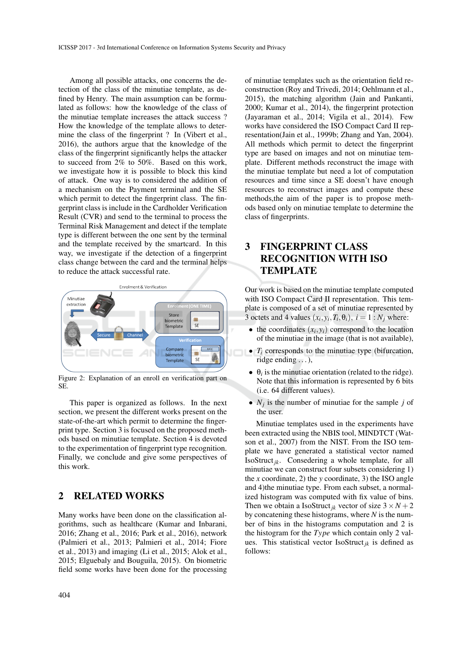Among all possible attacks, one concerns the detection of the class of the minutiae template, as defined by Henry. The main assumption can be formulated as follows: how the knowledge of the class of the minutiae template increases the attack success ? How the knowledge of the template allows to determine the class of the fingerprint ? In (Vibert et al., 2016), the authors argue that the knowledge of the class of the fingerprint significantly helps the attacker to succeed from 2% to 50%. Based on this work, we investigate how it is possible to block this kind of attack. One way is to considered the addition of a mechanism on the Payment terminal and the SE which permit to detect the fingerprint class. The fingerprint class is include in the Cardholder Verification Result (CVR) and send to the terminal to process the Terminal Risk Management and detect if the template type is different between the one sent by the terminal and the template received by the smartcard. In this way, we investigate if the detection of a fingerprint class change between the card and the terminal helps to reduce the attack successful rate.



Figure 2: Explanation of an enroll en verification part on SE.

This paper is organized as follows. In the next section, we present the different works present on the state-of-the-art which permit to determine the fingerprint type. Section 3 is focused on the proposed methods based on minutiae template. Section 4 is devoted to the experimentation of fingerprint type recognition. Finally, we conclude and give some perspectives of this work.

#### 2 RELATED WORKS

Many works have been done on the classification algorithms, such as healthcare (Kumar and Inbarani, 2016; Zhang et al., 2016; Park et al., 2016), network (Palmieri et al., 2013; Palmieri et al., 2014; Fiore et al., 2013) and imaging (Li et al., 2015; Alok et al., 2015; Elguebaly and Bouguila, 2015). On biometric field some works have been done for the processing of minutiae templates such as the orientation field reconstruction (Roy and Trivedi, 2014; Oehlmann et al., 2015), the matching algorithm (Jain and Pankanti, 2000; Kumar et al., 2014), the fingerprint protection (Jayaraman et al., 2014; Vigila et al., 2014). Few works have considered the ISO Compact Card II representation(Jain et al., 1999b; Zhang and Yan, 2004). All methods which permit to detect the fingerprint type are based on images and not on minutiae template. Different methods reconstruct the image with the minutiae template but need a lot of computation resources and time since a SE doesn't have enough resources to reconstruct images and compute these methods,the aim of the paper is to propose methods based only on minutiae template to determine the class of fingerprints.

# 3 FINGERPRINT CLASS RECOGNITION WITH ISO **TEMPLATE**

Our work is based on the minutiae template computed with ISO Compact Card II representation. This template is composed of a set of minutiae represented by 3 octets and 4 values  $(x_i, y_i, T_i, \theta_i)$ ,  $i = 1 : N_j$  where:

- the coordinates  $(x_i, y_i)$  correspond to the location of the minutiae in the image (that is not available),
- *T<sup>i</sup>* corresponds to the minutiae type (bifurcation, ridge ending . . . ),
- $\bullet$   $\theta_i$  is the minutiae orientation (related to the ridge). Note that this information is represented by 6 bits (i.e. 64 different values).
- $N_j$  is the number of minutiae for the sample  $j$  of the user.

Minutiae templates used in the experiments have been extracted using the NBIS tool, MINDTCT (Watson et al., 2007) from the NIST. From the ISO template we have generated a statistical vector named IsoStruct*jk*. Consedering a whole template, for all minutiae we can construct four subsets considering 1) the *x* coordinate, 2) the *y* coordinate, 3) the ISO angle and 4)the minutiae type. From each subset, a normalized histogram was computed with fix value of bins. Then we obtain a IsoStruct<sub>*jk*</sub> vector of size  $3 \times N + 2$ by concatening these histograms, where *N* is the number of bins in the histograms computation and 2 is the histogram for the *Type* which contain only 2 values. This statistical vector IsoStruct<sub>*ik*</sub> is defined as follows: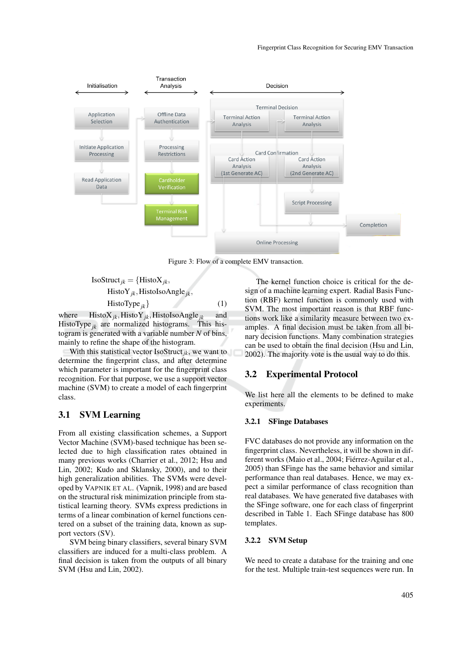

Figure 3: Flow of a complete EMV transaction.

$$
IsoStructjk = {HistoXjk,HistoYjk, HistoIsoAnglejk,HistoTypejk} \t(1)
$$

where  $HistoX_{jk}$ ,  $HistoY_{jk}$ ,  $HistoroA$ HistoType<sub>jk</sub> are normalized histograms. This histogram is generated with a variable number *N* of bins, mainly to refine the shape of the histogram.

With this statistical vector IsoStruct<sub>*ik*</sub>, we want to determine the fingerprint class, and after determine which parameter is important for the fingerprint class recognition. For that purpose, we use a support vector machine (SVM) to create a model of each fingerprint class.

### 3.1 SVM Learning

From all existing classification schemes, a Support Vector Machine (SVM)-based technique has been selected due to high classification rates obtained in many previous works (Charrier et al., 2012; Hsu and Lin, 2002; Kudo and Sklansky, 2000), and to their high generalization abilities. The SVMs were developed by VAPNIK ET AL. (Vapnik, 1998) and are based on the structural risk minimization principle from statistical learning theory. SVMs express predictions in terms of a linear combination of kernel functions centered on a subset of the training data, known as support vectors (SV).

SVM being binary classifiers, several binary SVM classifiers are induced for a multi-class problem. A final decision is taken from the outputs of all binary SVM (Hsu and Lin, 2002).

The kernel function choice is critical for the design of a machine learning expert. Radial Basis Function (RBF) kernel function is commonly used with SVM. The most important reason is that RBF functions work like a similarity measure between two examples. A final decision must be taken from all binary decision functions. Many combination strategies can be used to obtain the final decision (Hsu and Lin, 2002). The majority vote is the usual way to do this.

#### 3.2 Experimental Protocol

We list here all the elements to be defined to make experiments.

#### 3.2.1 SFinge Databases

FVC databases do not provide any information on the fingerprint class. Nevertheless, it will be shown in different works (Maio et al., 2004; Fiérrez-Aguilar et al., 2005) than SFinge has the same behavior and similar performance than real databases. Hence, we may expect a similar performance of class recognition than real databases. We have generated five databases with the SFinge software, one for each class of fingerprint described in Table 1. Each SFinge database has 800 templates.

#### 3.2.2 SVM Setup

We need to create a database for the training and one for the test. Multiple train-test sequences were run. In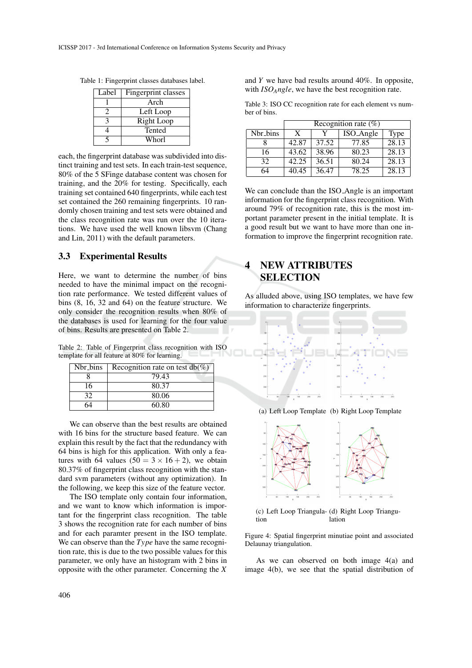Table 1: Fingerprint classes databases label.

| Label | Fingerprint classes |  |  |
|-------|---------------------|--|--|
|       | Arch                |  |  |
| 2     | Left Loop           |  |  |
|       | <b>Right Loop</b>   |  |  |
|       | Tented              |  |  |
|       | Whorl               |  |  |

each, the fingerprint database was subdivided into distinct training and test sets. In each train-test sequence, 80% of the 5 SFinge database content was chosen for training, and the 20% for testing. Specifically, each training set contained 640 fingerprints, while each test set contained the 260 remaining fingerprints. 10 randomly chosen training and test sets were obtained and the class recognition rate was run over the 10 iterations. We have used the well known libsvm (Chang and Lin, 2011) with the default parameters.

#### 3.3 Experimental Results

Here, we want to determine the number of bins needed to have the minimal impact on the recognition rate performance. We tested different values of bins (8, 16, 32 and 64) on the feature structure. We only consider the recognition results when 80% of the databases is used for learning for the four value of bins. Results are presented on Table 2.

Table 2: Table of Fingerprint class recognition with ISO template for all feature at 80% for learning.

| Nbr_bins | Recognition rate on test $db(\%)$ |  |
|----------|-----------------------------------|--|
|          | 79.43                             |  |
| 16       | 80.37                             |  |
| 32       | 80.06                             |  |
|          | 60.80                             |  |

We can observe than the best results are obtained with 16 bins for the structure based feature. We can explain this result by the fact that the redundancy with 64 bins is high for this application. With only a features with 64 values  $(50 = 3 \times 16 + 2)$ , we obtain 80.37% of fingerprint class recognition with the standard svm parameters (without any optimization). In the following, we keep this size of the feature vector.

The ISO template only contain four information, and we want to know which information is important for the fingerprint class recognition. The table 3 shows the recognition rate for each number of bins and for each paramter present in the ISO template. We can observe than the *Type* have the same recognition rate, this is due to the two possible values for this parameter, we only have an histogram with 2 bins in opposite with the other parameter. Concerning the *X*

and *Y* we have bad results around 40%. In opposite, with *ISOAngle*, we have the best recognition rate.

Table 3: ISO CC recognition rate for each element vs number of bins.

|          | Recognition rate $(\%)$ |       |           |             |
|----------|-------------------------|-------|-----------|-------------|
| Nbr_bins | X                       |       | ISO_Angle | <b>Type</b> |
|          | 42.87                   | 37.52 | 77.85     | 28.13       |
| 16       | 43.62                   | 38.96 | 80.23     | 28.13       |
| 32       | 42.25                   | 36.51 | 80.24     | 28.13       |
| 64       | 40.45                   | 36.47 | 78.25     | 28.13       |

We can conclude than the ISO\_Angle is an important information for the fingerprint class recognition. With around 79% of recognition rate, this is the most important parameter present in the initial template. It is a good result but we want to have more than one information to improve the fingerprint recognition rate.

## 4 NEW ATTRIBUTES **SELECTION**

As alluded above, using ISO templates, we have few information to characterize fingerprints.



(a) Left Loop Template (b) Right Loop Template



(c) Left Loop Triangula-(d) Right Loop Triangution lation

Figure 4: Spatial fingerprint minutiae point and associated Delaunay triangulation.

As we can observed on both image 4(a) and image 4(b), we see that the spatial distribution of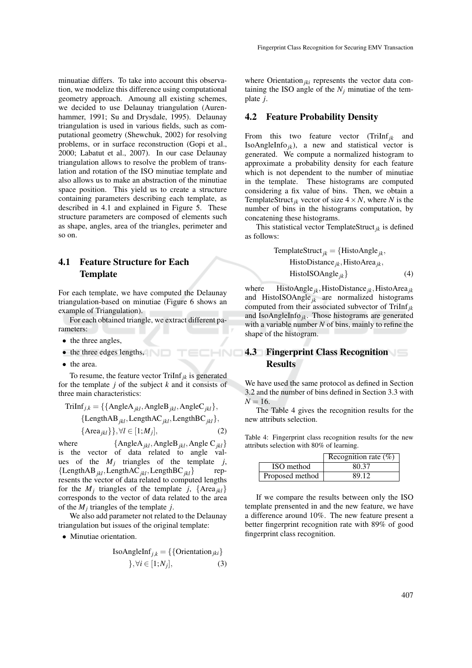minuatiae differs. To take into account this observation, we modelize this difference using computational geometry approach. Amoung all existing schemes, we decided to use Delaunay triangulation (Aurenhammer, 1991; Su and Drysdale, 1995). Delaunay triangulation is used in various fields, such as computational geometry (Shewchuk, 2002) for resolving problems, or in surface reconstruction (Gopi et al., 2000; Labatut et al., 2007). In our case Delaunay triangulation allows to resolve the problem of translation and rotation of the ISO minutiae template and also allows us to make an abstraction of the minutiae space position. This yield us to create a structure containing parameters describing each template, as described in 4.1 and explained in Figure 5. These structure parameters are composed of elements such as shape, angles, area of the triangles, perimeter and so on.

## 4.1 Feature Structure for Each **Template**

For each template, we have computed the Delaunay triangulation-based on minutiae (Figure 6 shows an example of Triangulation).

For each obtained triangle, we extract different parameters:

**HNI** 

- the three angles,
- the three edges lengths,
- the area.

To resume, the feature vector TriInf*jk* is generated for the template *j* of the subject *k* and it consists of three main characteristics:

Trilnf<sub>j,k</sub> = {AngleA<sub>jkl</sub>, AngleB<sub>jkl</sub>, AngleC<sub>jkl</sub>},  
{LengthAB<sub>jkl</sub>,LengthAC<sub>jkl</sub>,LengthBC<sub>jkl</sub>},  
{Area<sub>jkl</sub>}, 
$$
\forall l \in [1;M_j],
$$
 (2)

where  $\{AngleA_{jkl}, AngleB_{jkl},AngleC_{jkl}\}$ is the vector of data related to angle values of the  $M_j$  triangles of the template  $j$ , {LengthAB*jkl*,LengthAC*jkl*,LengthBC*jkl*} represents the vector of data related to computed lengths for the  $M_j$  triangles of the template *j*,  $\{Area_{jkl}\}$ corresponds to the vector of data related to the area of the *M<sup>j</sup>* triangles of the template *j*.

We also add parameter not related to the Delaunay triangulation but issues of the original template:

• Minutiae orientation.

IsoAngleInf<sub>j,k</sub> = {
$$
\{
$$
 Orientation<sub>jki</sub> }\n},  $\forall i \in [1; N_j],$  (3)

where Orientation*jki* represents the vector data containing the ISO angle of the  $N_j$  minutiae of the template *j*.

#### 4.2 Feature Probability Density

From this two feature vector (TriInf*jk* and IsoAngleInfo $_{ik}$ ), a new and statistical vector is generated. We compute a normalized histogram to approximate a probability density for each feature which is not dependent to the number of minutiae in the template. These histograms are computed considering a fix value of bins. Then, we obtain a TemplateStruct<sub>*ik*</sub> vector of size  $4 \times N$ , where *N* is the number of bins in the histograms computation, by concatening these histograms.

This statistical vector TemplateStruct*jk* is defined as follows:

TemplateStruct*jk* = {HistoAngle*jk*, HistoDistance*jk*,HistoArea*jk*, HistoISOAngle*jk*} (4)

where HistoAngle *jk*,HistoDistance*jk*,HistoArea*jk* and HistoISOAngle*jk* are normalized histograms computed from their associated subvector of TriInf*jk* and IsoAngleInfo*jk*. Those histograms are generated with a variable number *N* of bins, mainly to refine the shape of the histogram.

### 4.3 Fingerprint Class Recognition Results

We have used the same protocol as defined in Section 3.2 and the number of bins defined in Section 3.3 with  $N = 16$ .

The Table 4 gives the recognition results for the new attributs selection.

Table 4: Fingerprint class recognition results for the new attributs selection with 80% of learning.

|                 | Recognition rate $(\%)$ |
|-----------------|-------------------------|
| ISO method      | 80.37                   |
| Proposed method | 89.12                   |

If we compare the results between only the ISO template prensented in and the new feature, we have a difference around 10%. The new feature present a better fingerprint recognition rate with 89% of good fingerprint class recognition.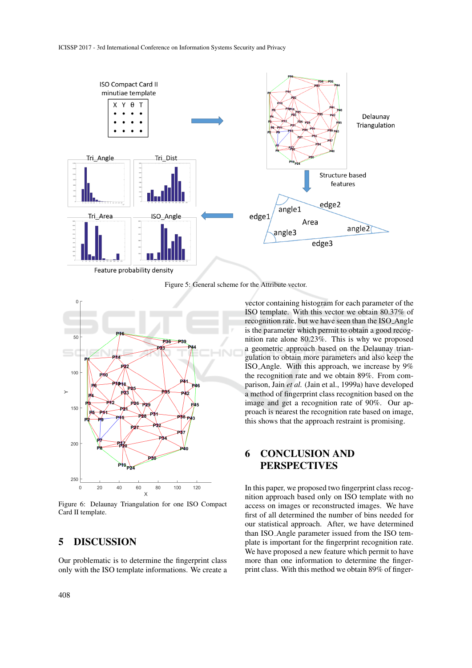

Figure 5: General scheme for the Attribute vector.



Figure 6: Delaunay Triangulation for one ISO Compact Card II template.

### 5 DISCUSSION

Our problematic is to determine the fingerprint class only with the ISO template informations. We create a

vector containing histogram for each parameter of the ISO template. With this vector we obtain 80.37% of recognition rate, but we have seen than the ISO Angle is the parameter which permit to obtain a good recognition rate alone 80.23%. This is why we proposed a geometric approach based on the Delaunay triangulation to obtain more parameters and also keep the ISO Angle. With this approach, we increase by 9% the recognition rate and we obtain 89%. From comparison, Jain *et al.* (Jain et al., 1999a) have developed a method of fingerprint class recognition based on the image and get a recognition rate of 90%. Our approach is nearest the recognition rate based on image, this shows that the approach restraint is promising.

# 6 CONCLUSION AND **PERSPECTIVES**

In this paper, we proposed two fingerprint class recognition approach based only on ISO template with no access on images or reconstructed images. We have first of all determined the number of bins needed for our statistical approach. After, we have determined than ISO Angle parameter issued from the ISO template is important for the fingerprint recognition rate. We have proposed a new feature which permit to have more than one information to determine the fingerprint class. With this method we obtain 89% of finger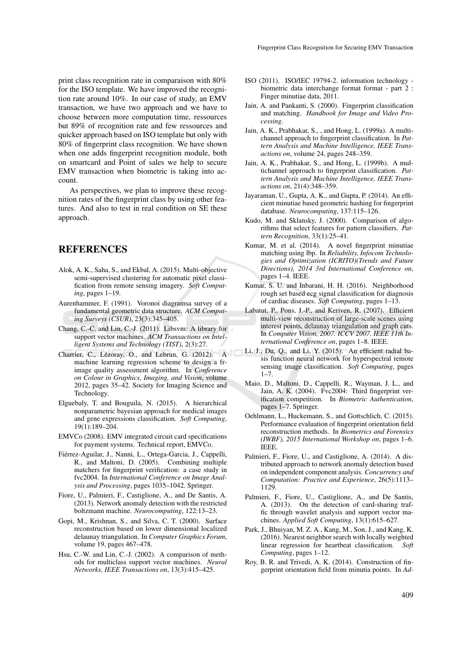print class recognition rate in comparaison with 80% for the ISO template. We have improved the recognition rate around 10%. In our case of study, an EMV transaction, we have two approach and we have to choose between more computation time, ressources but 89% of recognition rate and few ressources and quicker approach based on ISO template but only with 80% of fingerprint class recognition. We have shown when one adds fingerprint recognition module, both on smartcard and Point of sales we help to secure EMV transaction when biometric is taking into account.

As perspectives, we plan to improve these recognition rates of the fingerprint class by using other features. And also to test in real condition on SE these approach.

### **REFERENCES**

- Alok, A. K., Saha, S., and Ekbal, A. (2015). Multi-objective semi-supervised clustering for automatic pixel classification from remote sensing imagery. *Soft Computing*, pages 1–19.
- Aurenhammer, F. (1991). Voronoi diagramsa survey of a fundamental geometric data structure. *ACM Computing Surveys (CSUR)*, 23(3):345–405.
- Chang, C.-C. and Lin, C.-J. (2011). Libsvm: A library for support vector machines. *ACM Transactions on Intelligent Systems and Technology (TIST)*, 2(3):27.
- Charrier, C., Lézoray, O., and Lebrun, G. (2012). A machine learning regression scheme to design a frimage quality assessment algorithm. In *Conference on Colour in Graphics, Imaging, and Vision*, volume 2012, pages 35–42. Society for Imaging Science and Technology.
- Elguebaly, T. and Bouguila, N. (2015). A hierarchical nonparametric bayesian approach for medical images and gene expressions classification. *Soft Computing*, 19(1):189–204.
- EMVCo (2008). EMV integrated circuit card specifications for payment systems. Technical report, EMVCo.
- Fierrez-Aguilar, J., Nanni, L., Ortega-Garcia, J., Cappelli, ´ R., and Maltoni, D. (2005). Combining multiple matchers for fingerprint verification: a case study in fvc2004. In *International Conference on Image Analysis and Processing*, pages 1035–1042. Springer.
- Fiore, U., Palmieri, F., Castiglione, A., and De Santis, A. (2013). Network anomaly detection with the restricted boltzmann machine. *Neurocomputing*, 122:13–23.
- Gopi, M., Krishnan, S., and Silva, C. T. (2000). Surface reconstruction based on lower dimensional localized delaunay triangulation. In *Computer Graphics Forum*, volume 19, pages 467–478.
- Hsu, C.-W. and Lin, C.-J. (2002). A comparison of methods for multiclass support vector machines. *Neural Networks, IEEE Transactions on*, 13(3):415–425.
- ISO (2011). ISO/IEC 19794-2. information technology biometric data interchange format format - part 2 : Finger minutiae data, 2011.
- Jain, A. and Pankanti, S. (2000). Fingerprint classification and matching. *Handbook for Image and Video Processing*.
- Jain, A. K., Prabhakar, S., , and Hong, L. (1999a). A multichannel approach to fingerprint classification. In *Pattern Analysis and Machine Intelligence, IEEE Transactions on*, volume 24, pages 248–359.
- Jain, A. K., Prabhakar, S., and Hong, L. (1999b). A multichannel approach to fingerprint classification. *Pattern Analysis and Machine Intelligence, IEEE Transactions on*, 21(4):348–359.
- Jayaraman, U., Gupta, A. K., and Gupta, P. (2014). An efficient minutiae based geometric hashing for fingerprint database. *Neurocomputing*, 137:115–126.
- Kudo, M. and Sklansky, J. (2000). Comparison of algorithms that select features for pattern classifiers. *Pattern Recognition*, 33(1):25–41.
- Kumar, M. et al. (2014). A novel fingerprint minutiae matching using lbp. In *Reliability, Infocom Technologies and Optimization (ICRITO)(Trends and Future Directions), 2014 3rd International Conference on*, pages 1–4. IEEE.
- Kumar, S. U. and Inbarani, H. H. (2016). Neighborhood rough set based ecg signal classification for diagnosis of cardiac diseases. *Soft Computing*, pages 1–13.
- Labatut, P., Pons, J.-P., and Keriven, R. (2007). Efficient multi-view reconstruction of large-scale scenes using interest points, delaunay triangulation and graph cuts. In *Computer Vision, 2007. ICCV 2007. IEEE 11th International Conference on*, pages 1–8. IEEE.
- Li, J., Du, Q., and Li, Y. (2015). An efficient radial basis function neural network for hyperspectral remote sensing image classification. *Soft Computing*, pages  $1 - 7$ .
- Maio, D., Maltoni, D., Cappelli, R., Wayman, J. L., and Jain, A. K. (2004). Fvc2004: Third fingerprint verification competition. In *Biometric Authentication*, pages 1–7. Springer.
- Oehlmann, L., Huckemann, S., and Gottschlich, C. (2015). Performance evaluation of fingerprint orientation field reconstruction methods. In *Biometrics and Forensics (IWBF), 2015 International Workshop on*, pages 1–6. IEEE.
- Palmieri, F., Fiore, U., and Castiglione, A. (2014). A distributed approach to network anomaly detection based on independent component analysis. *Concurrency and Computation: Practice and Experience*, 26(5):1113– 1129.
- Palmieri, F., Fiore, U., Castiglione, A., and De Santis, A. (2013). On the detection of card-sharing traffic through wavelet analysis and support vector machines. *Applied Soft Computing*, 13(1):615–627.
- Park, J., Bhuiyan, M. Z. A., Kang, M., Son, J., and Kang, K. (2016). Nearest neighbor search with locally weighted linear regression for heartbeat classification. *Soft Computing*, pages 1–12.
- Roy, B. R. and Trivedi, A. K. (2014). Construction of fingerprint orientation field from minutia points. In *Ad-*